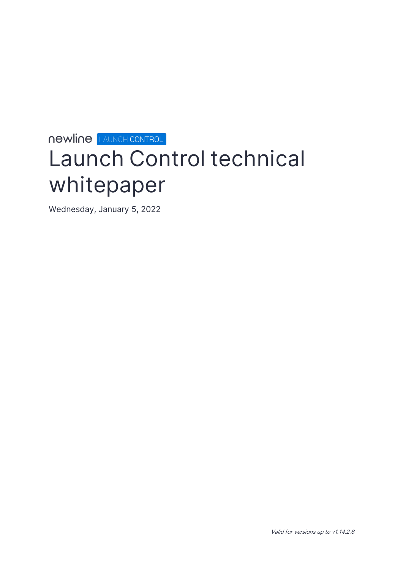# **newline LAUNCH CONTROL Launch Control technical whitepaper**

Wednesday, January 5, 2022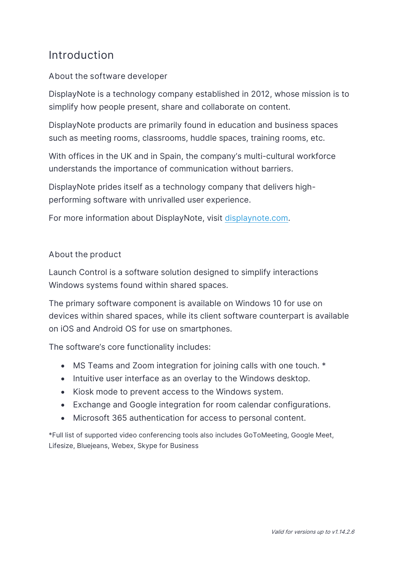### <span id="page-2-0"></span>**Introduction**

### **About the software developer**

DisplayNote is a technology company established in 2012, whose mission is to simplify how people present, share and collaborate on content.

DisplayNote products are primarily found in education and business spaces such as meeting rooms, classrooms, huddle spaces, training rooms, etc.

With offices in the UK and in Spain, the company's multi-cultural workforce understands the importance of communication without barriers.

DisplayNote prides itself as a technology company that delivers highperforming software with unrivalled user experience.

For more information about DisplayNote, visit [displaynote.com.](https://www.displaynote.com/)

#### **About the product**

Launch Control is a software solution designed to simplify interactions Windows systems found within shared spaces.

The primary software component is available on Windows 10 for use on devices within shared spaces, while its client software counterpart is available on iOS and Android OS for use on smartphones.

The software's core functionality includes:

- MS Teams and Zoom integration for joining calls with one touch. \*
- Intuitive user interface as an overlay to the Windows desktop.
- Kiosk mode to prevent access to the Windows system.
- Exchange and Google integration for room calendar configurations.
- Microsoft 365 authentication for access to personal content.

\*Full list of supported video conferencing tools also includes GoToMeeting, Google Meet, Lifesize, Bluejeans, Webex, Skype for Business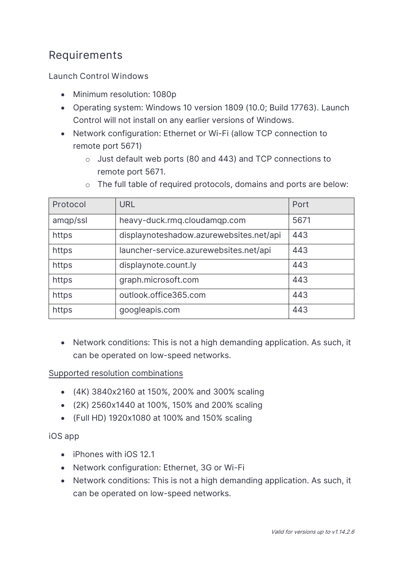# <span id="page-3-0"></span>**Requirements**

**Launch Control Windows** 

- Minimum resolution: 1080p
- Operating system: Windows 10 version 1809 (10.0; Build 17763). Launch Control will not install on any earlier versions of Windows.
- Network configuration: Ethernet or Wi-Fi (allow TCP connection to remote port 5671)
	- o Just default web ports (80 and 443) and TCP connections to remote port 5671.

| Protocol | <b>URL</b>                              | Port |
|----------|-----------------------------------------|------|
| amqp/ssl | heavy-duck.rmq.cloudamqp.com            | 5671 |
| https    | displaynoteshadow.azurewebsites.net/api | 443  |
| https    | launcher-service.azurewebsites.net/api  | 443  |
| https    | displaynote.count.ly                    | 443  |
| https    | graph.microsoft.com                     | 443  |
| https    | outlook.office365.com                   | 443  |
| https    | googleapis.com                          | 443  |

o The full table of required protocols, domains and ports are below:

• Network conditions: This is not a high demanding application. As such, it can be operated on low-speed networks.

#### Supported resolution combinations

- (4K) 3840x2160 at 150%, 200% and 300% scaling
- (2K) 2560x1440 at 100%, 150% and 200% scaling
- (Full HD) 1920x1080 at 100% and 150% scaling

**iOS app** 

- iPhones with iOS 12.1
- Network configuration: Ethernet, 3G or Wi-Fi
- Network conditions: This is not a high demanding application. As such, it can be operated on low-speed networks.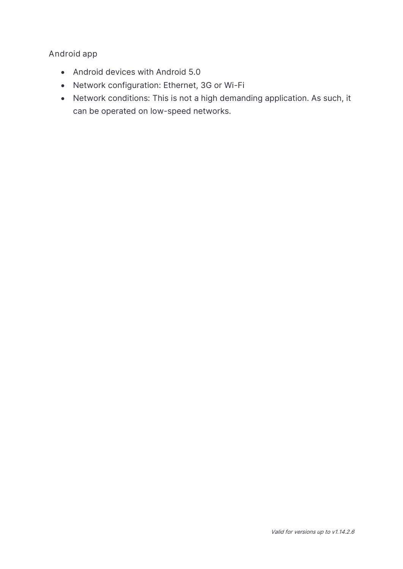#### **Android app**

- Android devices with Android 5.0
- Network configuration: Ethernet, 3G or Wi-Fi
- Network conditions: This is not a high demanding application. As such, it can be operated on low-speed networks.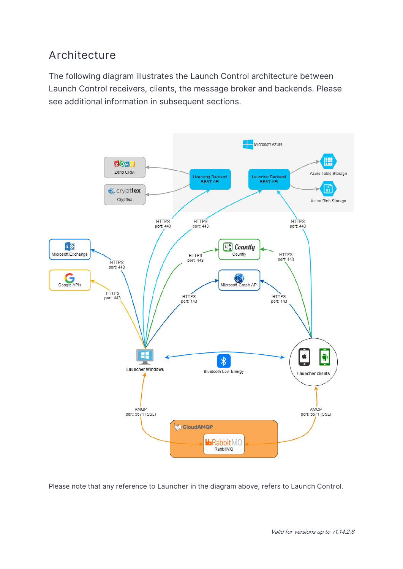# <span id="page-5-0"></span>**Architecture**

The following diagram illustrates the Launch Control architecture between Launch Control receivers, clients, the message broker and backends. Please see additional information in subsequent sections.



Please note that any reference to **Launcher** in the diagram above, refers to **Launch Control.**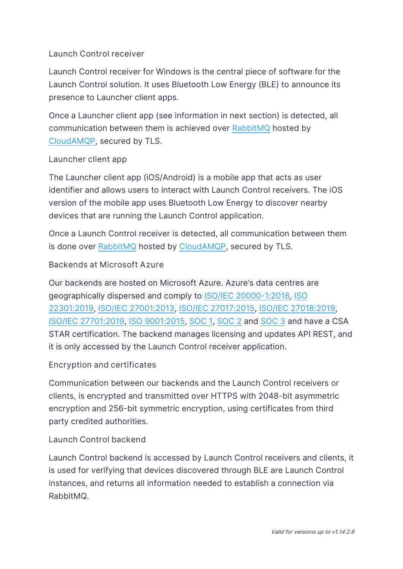#### **Launch Control receiver**

Launch Control receiver for Windows is the central piece of software for the Launch Control solution. It uses Bluetooth Low Energy (BLE) to announce its presence to Launcher client apps.

Once a Launcher client app (see information in next section) is detected, all communication between them is achieved over [RabbitMQ](https://www.rabbitmq.com/) hosted by [CloudAMQP,](https://www.cloudamqp.com/) secured by TLS.

#### **Launcher client app**

The Launcher client app (iOS/Android) is a mobile app that acts as user identifier and allows users to interact with Launch Control receivers. The iOS version of the mobile app uses Bluetooth Low Energy to discover nearby devices that are running the Launch Control application.

Once a Launch Control receiver is detected, all communication between them is done over [RabbitMQ](https://www.rabbitmq.com/) hosted by [CloudAMQP,](https://www.cloudamqp.com/) secured by TLS.

#### **Backends at Microsoft Azure**

Our backends are hosted on Microsoft Azure. Azure's data centres are geographically dispersed and comply to [ISO/IEC 20000-1:2018,](https://docs.microsoft.com/en-us/azure/compliance/offerings/offering-iso-20000-1) [ISO](https://docs.microsoft.com/en-us/azure/compliance/offerings/offering-iso-22301)  [22301:2019,](https://docs.microsoft.com/en-us/azure/compliance/offerings/offering-iso-22301) [ISO/IEC 27001:2013,](https://docs.microsoft.com/en-us/azure/compliance/offerings/offering-iso-27001) [ISO/IEC 27017:2015,](https://docs.microsoft.com/en-us/azure/compliance/offerings/offering-iso-27017) [ISO/IEC 27018:2019,](https://docs.microsoft.com/en-us/azure/compliance/offerings/offering-iso-27018) [ISO/IEC 27701:2019,](https://docs.microsoft.com/en-us/azure/compliance/offerings/offering-iso-27701) [ISO 9001:2015,](https://docs.microsoft.com/en-us/azure/compliance/offerings/offering-iso-9001) [SOC 1,](https://docs.microsoft.com/en-us/azure/compliance/offerings/offering-soc-1) [SOC 2](https://docs.microsoft.com/en-us/azure/compliance/offerings/offering-soc-2) and [SOC 3](https://docs.microsoft.com/en-us/azure/compliance/offerings/offering-soc-3) and have a CSA STAR certification. The backend manages licensing and updates API REST, and it is only accessed by the Launch Control receiver application.

#### **Encryption and certificates**

Communication between our backends and the Launch Control receivers or clients, is encrypted and transmitted over HTTPS with 2048-bit asymmetric encryption and 256-bit symmetric encryption, using certificates from third party credited authorities.

#### **Launch Control backend**

Launch Control backend is accessed by Launch Control receivers and clients, it is used for verifying that devices discovered through BLE are Launch Control instances, and returns all information needed to establish a connection via RabbitMQ.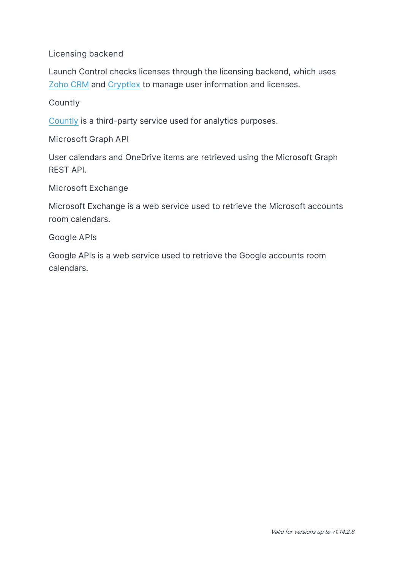#### **Licensing backend**

Launch Control checks licenses through the licensing backend, which uses [Zoho CRM](https://www.zoho.com/) and [Cryptlex](https://cryptlex.com/) to manage user information and licenses.

#### **Countly**

[Countly](https://count.ly/) is a third-party service used for analytics purposes.

**Microsoft Graph API**

User calendars and OneDrive items are retrieved using the Microsoft Graph REST API.

**Microsoft Exchange** 

Microsoft Exchange is a web service used to retrieve the Microsoft accounts room calendars.

**Google APIs**

Google APIs is a web service used to retrieve the Google accounts room calendars.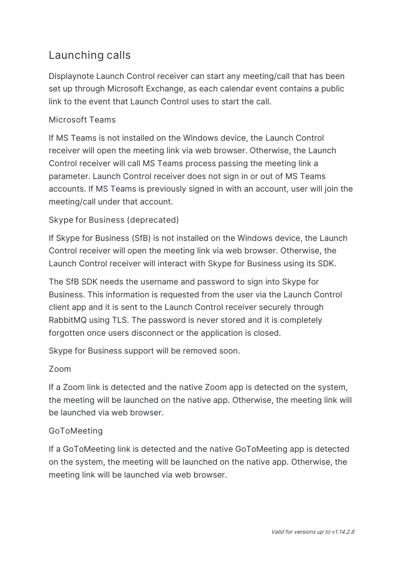# <span id="page-8-0"></span>**Launching calls**

Displaynote Launch Control receiver can start any meeting/call that has been set up through Microsoft Exchange, as each calendar event contains a public link to the event that Launch Control uses to start the call.

### **Microsoft Teams**

If MS Teams is not installed on the Windows device, the Launch Control receiver will open the meeting link via web browser. Otherwise, the Launch Control receiver will call MS Teams process passing the meeting link a parameter. Launch Control receiver does not sign in or out of MS Teams accounts. If MS Teams is previously signed in with an account, user will join the meeting/call under that account.

### **Skype for Business (deprecated)**

If Skype for Business (SfB) is not installed on the Windows device, the Launch Control receiver will open the meeting link via web browser. Otherwise, the Launch Control receiver will interact with Skype for Business using its SDK.

The SfB SDK needs the username and password to sign into Skype for Business. This information is requested from the user via the Launch Control client app and it is sent to the Launch Control receiver securely through RabbitMQ using TLS. The password is never stored and it is completely forgotten once users disconnect or the application is closed.

Skype for Business support will be removed soon.

#### **Zoom**

If a Zoom link is detected and the native Zoom app is detected on the system, the meeting will be launched on the native app. Otherwise, the meeting link will be launched via web browser.

#### **GoToMeeting**

If a GoToMeeting link is detected and the native GoToMeeting app is detected on the system, the meeting will be launched on the native app. Otherwise, the meeting link will be launched via web browser.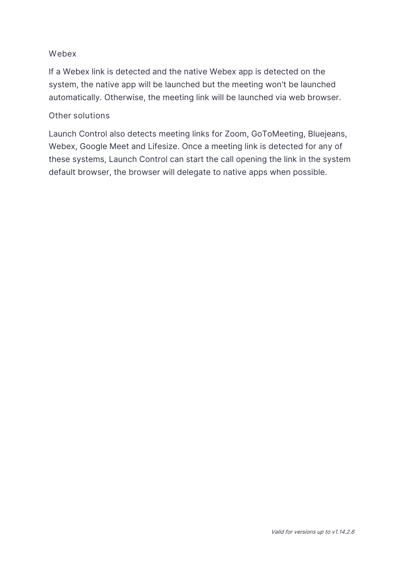#### **Webex**

If a Webex link is detected and the native Webex app is detected on the system, the native app will be launched but the meeting won't be launched automatically. Otherwise, the meeting link will be launched via web browser.

#### **Other solutions**

Launch Control also detects meeting links for Zoom, GoToMeeting, Bluejeans, Webex, Google Meet and Lifesize. Once a meeting link is detected for any of these systems, Launch Control can start the call opening the link in the system default browser, the browser will delegate to native apps when possible.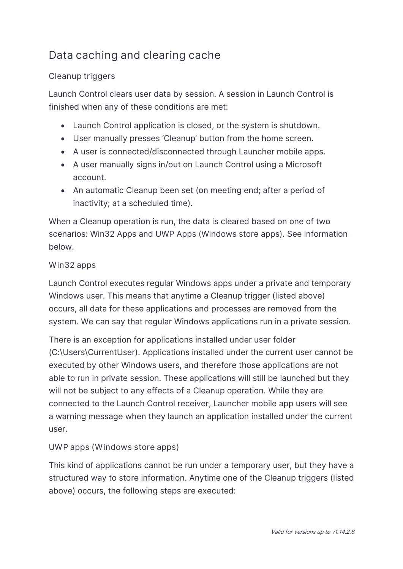# <span id="page-10-0"></span>**Data caching and clearing cache**

### **Cleanup triggers**

Launch Control clears user data by session. A session in Launch Control is finished when any of these conditions are met:

- Launch Control application is closed, or the system is shutdown.
- User manually presses 'Cleanup' button from the home screen.
- A user is connected/disconnected through Launcher mobile apps.
- A user manually signs in/out on Launch Control using a Microsoft account.
- An automatic Cleanup been set (on meeting end; after a period of inactivity; at a scheduled time).

When a Cleanup operation is run, the data is cleared based on one of two scenarios: Win32 Apps and UWP Apps (Windows store apps). See information below.

### **Win32 apps**

Launch Control executes regular Windows apps under a private and temporary Windows user. This means that anytime a Cleanup trigger (listed above) occurs, all data for these applications and processes are removed from the system. We can say that regular Windows applications run in a private session.

There is an exception for applications installed under user folder (C:\Users\CurrentUser). Applications installed under the current user cannot be executed by other Windows users, and therefore those applications are not able to run in private session. These applications will still be launched but they will not be subject to any effects of a Cleanup operation. While they are connected to the Launch Control receiver, Launcher mobile app users will see a warning message when they launch an application installed under the current user.

### **UWP apps (Windows store apps)**

This kind of applications cannot be run under a temporary user, but they have a structured way to store information. Anytime one of the Cleanup triggers (listed above) occurs, the following steps are executed: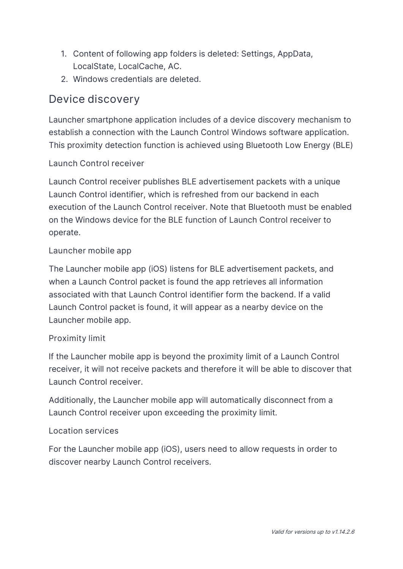- 1. Content of following app folders is deleted: Settings, AppData, LocalState, LocalCache, AC.
- 2. Windows credentials are deleted.

### <span id="page-11-0"></span>**Device discovery**

Launcher smartphone application includes of a device discovery mechanism to establish a connection with the Launch Control Windows software application. This proximity detection function is achieved using Bluetooth Low Energy (BLE)

#### **Launch Control receiver**

Launch Control receiver publishes BLE advertisement packets with a unique Launch Control identifier, which is refreshed from our backend in each execution of the Launch Control receiver. Note that Bluetooth must be enabled on the Windows device for the BLE function of Launch Control receiver to operate.

#### **Launcher mobile app**

The Launcher mobile app (iOS) listens for BLE advertisement packets, and when a Launch Control packet is found the app retrieves all information associated with that Launch Control identifier form the backend. If a valid Launch Control packet is found, it will appear as a nearby device on the Launcher mobile app.

#### **Proximity limit**

If the Launcher mobile app is beyond the proximity limit of a Launch Control receiver, it will not receive packets and therefore it will be able to discover that Launch Control receiver.

Additionally, the Launcher mobile app will automatically disconnect from a Launch Control receiver upon exceeding the proximity limit.

#### **Location services**

For the Launcher mobile app (iOS), users need to allow requests in order to discover nearby Launch Control receivers.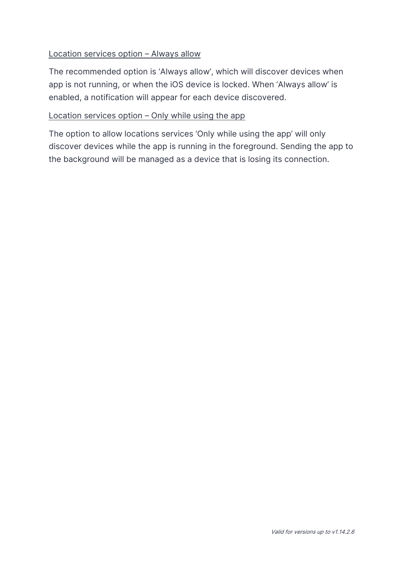#### Location services option – Always allow

The recommended option is 'Always allow', which will discover devices when app is not running, or when the iOS device is locked. When 'Always allow' is enabled, a notification will appear for each device discovered.

#### Location services option – Only while using the app

The option to allow locations services 'Only while using the app' will only discover devices while the app is running in the foreground. Sending the app to the background will be managed as a device that is losing its connection.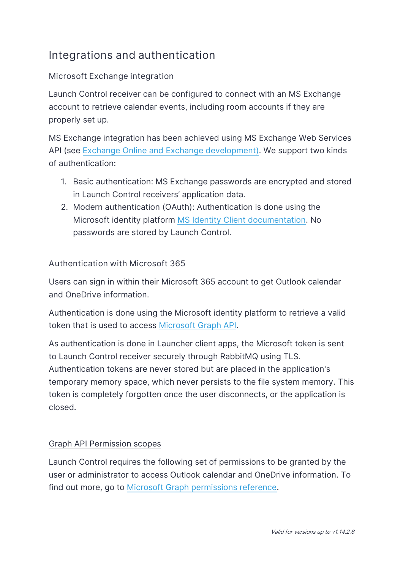# <span id="page-13-0"></span>**Integrations and authentication**

### **Microsoft Exchange integration**

Launch Control receiver can be configured to connect with an MS Exchange account to retrieve calendar events, including room accounts if they are properly set up.

MS Exchange integration has been achieved using MS Exchange Web Services API (see [Exchange Online and Exchange development\)](https://docs.microsoft.com/en-us/exchange/client-developer/exchange-server-development). We support two kinds of authentication:

- 1. Basic authentication: MS Exchange passwords are encrypted and stored in Launch Control receivers' application data.
- 2. Modern authentication (OAuth): Authentication is done using the Microsoft identity platform [MS Identity Client documentation.](https://www.nuget.org/packages/Microsoft.Identity.Client/) No passwords are stored by Launch Control.

#### **Authentication with Microsoft 365**

Users can sign in within their Microsoft 365 account to get Outlook calendar and OneDrive information.

Authentication is done using the Microsoft identity platform to retrieve a valid token that is used to access [Microsoft Graph API.](https://docs.microsoft.com/en-us/graph/)

As authentication is done in Launcher client apps, the Microsoft token is sent to Launch Control receiver securely through RabbitMQ using TLS. Authentication tokens are never stored but are placed in the application's temporary memory space, which never persists to the file system memory. This token is completely forgotten once the user disconnects, or the application is closed.

#### Graph API Permission scopes

Launch Control requires the following set of permissions to be granted by the user or administrator to access Outlook calendar and OneDrive information. To find out more, go to [Microsoft Graph permissions reference.](https://docs.microsoft.com/en-us/graph/permissions-reference)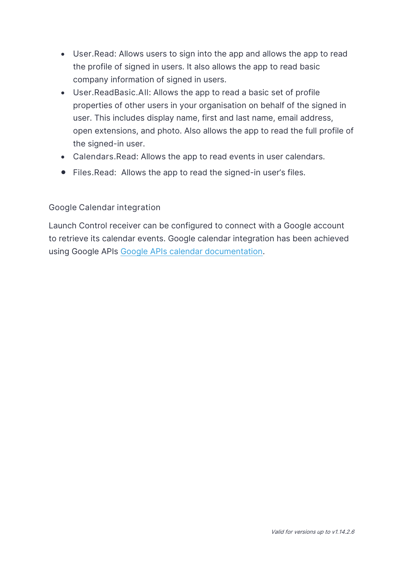- **User.Read**: Allows users to sign into the app and allows the app to read the profile of signed in users. It also allows the app to read basic company information of signed in users.
- **User.ReadBasic.All**: Allows the app to read a basic set of profile properties of other users in your organisation on behalf of the signed in user. This includes display name, first and last name, email address, open extensions, and photo. Also allows the app to read the full profile of the signed-in user.
- **Calendars.Read**: Allows the app to read events in user calendars.
- **Files.Read:** Allows the app to read the signed-in user's files.

#### **Google Calendar integration**

Launch Control receiver can be configured to connect with a Google account to retrieve its calendar events. Google calendar integration has been achieved using Google APIs [Google APIs calendar documentation.](https://developers.google.com/calendar/api/v3/reference)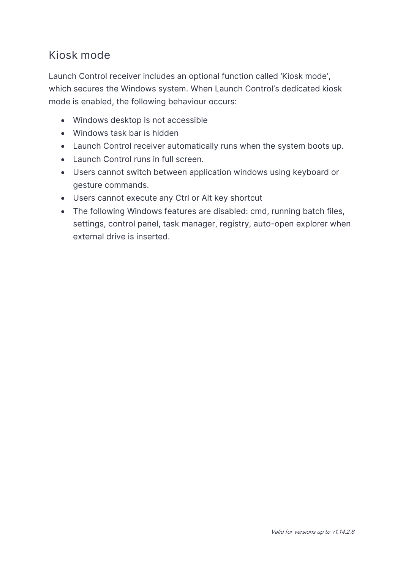# <span id="page-15-0"></span>**Kiosk mode**

Launch Control receiver includes an optional function called 'Kiosk mode', which secures the Windows system. When Launch Control's dedicated kiosk mode is enabled, the following behaviour occurs:

- Windows desktop is not accessible
- Windows task bar is hidden
- Launch Control receiver automatically runs when the system boots up.
- Launch Control runs in full screen.
- Users cannot switch between application windows using keyboard or gesture commands.
- Users cannot execute any Ctrl or Alt key shortcut
- The following Windows features are disabled: cmd, running batch files, settings, control panel, task manager, registry, auto-open explorer when external drive is inserted.